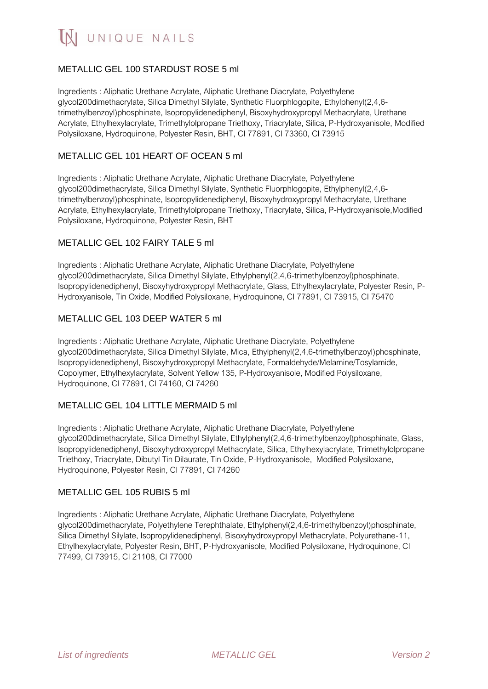IN UNIQUE NAILS

# METALLIC GEL 100 STARDUST ROSE 5 ml

Ingredients : Aliphatic Urethane Acrylate, Aliphatic Urethane Diacrylate, Polyethylene glycol200dimethacrylate, Silica Dimethyl Silylate, Synthetic Fluorphlogopite, Ethylphenyl(2,4,6 trimethylbenzoyl)phosphinate, Isopropylidenediphenyl, Bisoxyhydroxypropyl Methacrylate, Urethane Acrylate, Ethylhexylacrylate, Trimethylolpropane Triethoxy, Triacrylate, Silica, P-Hydroxyanisole, Modified Polysiloxane, Hydroquinone, Polyester Resin, BHT, CI 77891, CI 73360, CI 73915

## METALLIC GEL 101 HEART OF OCEAN 5 ml

Ingredients : Aliphatic Urethane Acrylate, Aliphatic Urethane Diacrylate, Polyethylene glycol200dimethacrylate, Silica Dimethyl Silylate, Synthetic Fluorphlogopite, Ethylphenyl(2,4,6 trimethylbenzoyl)phosphinate, Isopropylidenediphenyl, Bisoxyhydroxypropyl Methacrylate, Urethane Acrylate, Ethylhexylacrylate, Trimethylolpropane Triethoxy, Triacrylate, Silica, P-Hydroxyanisole,Modified Polysiloxane, Hydroquinone, Polyester Resin, BHT

#### METALLIC GEL 102 FAIRY TALE 5 ml

Ingredients : Aliphatic Urethane Acrylate, Aliphatic Urethane Diacrylate, Polyethylene glycol200dimethacrylate, Silica Dimethyl Silylate, Ethylphenyl(2,4,6-trimethylbenzoyl)phosphinate, Isopropylidenediphenyl, Bisoxyhydroxypropyl Methacrylate, Glass, Ethylhexylacrylate, Polyester Resin, P-Hydroxyanisole, Tin Oxide, Modified Polysiloxane, Hydroquinone, CI 77891, CI 73915, CI 75470

## METALLIC GEL 103 DEEP WATER 5 ml

Ingredients : Aliphatic Urethane Acrylate, Aliphatic Urethane Diacrylate, Polyethylene glycol200dimethacrylate, Silica Dimethyl Silylate, Mica, Ethylphenyl(2,4,6-trimethylbenzoyl)phosphinate, Isopropylidenediphenyl, Bisoxyhydroxypropyl Methacrylate, Formaldehyde/Melamine/Tosylamide, Copolymer, Ethylhexylacrylate, Solvent Yellow 135, P-Hydroxyanisole, Modified Polysiloxane, Hydroquinone, CI 77891, CI 74160, CI 74260

## METALLIC GEL 104 LITTLE MERMAID 5 ml

Ingredients : Aliphatic Urethane Acrylate, Aliphatic Urethane Diacrylate, Polyethylene glycol200dimethacrylate, Silica Dimethyl Silylate, Ethylphenyl(2,4,6-trimethylbenzoyl)phosphinate, Glass, Isopropylidenediphenyl, Bisoxyhydroxypropyl Methacrylate, Silica, Ethylhexylacrylate, Trimethylolpropane Triethoxy, Triacrylate, Dibutyl Tin Dilaurate, Tin Oxide, P-Hydroxyanisole, Modified Polysiloxane, Hydroquinone, Polyester Resin, CI 77891, CI 74260

#### METALLIC GEL 105 RUBIS 5 ml

Ingredients : Aliphatic Urethane Acrylate, Aliphatic Urethane Diacrylate, Polyethylene glycol200dimethacrylate, Polyethylene Terephthalate, Ethylphenyl(2,4,6-trimethylbenzoyl)phosphinate, Silica Dimethyl Silylate, Isopropylidenediphenyl, Bisoxyhydroxypropyl Methacrylate, Polyurethane-11, Ethylhexylacrylate, Polyester Resin, BHT, P-Hydroxyanisole, Modified Polysiloxane, Hydroquinone, CI 77499, CI 73915, CI 21108, CI 77000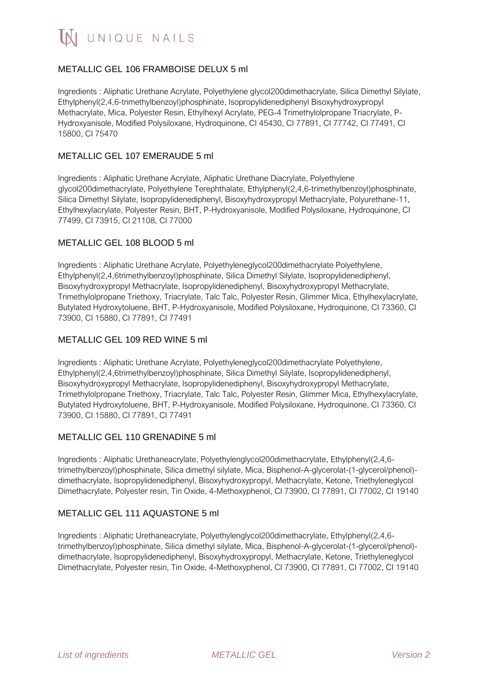

# METALLIC GEL 106 FRAMBOISE DELUX 5 ml

Ingredients : Aliphatic Urethane Acrylate, Polyethylene glycol200dimethacrylate, Silica Dimethyl Silylate, Ethylphenyl(2,4,6-trimethylbenzoyl)phosphinate, Isopropylidenediphenyl Bisoxyhydroxypropyl Methacrylate, Mica, Polyester Resin, Ethylhexyl Acrylate, PEG-4 Trimethylolpropane Triacrylate, P-Hydroxyanisole, Modified Polysiloxane, Hydroquinone, CI 45430, CI 77891, CI 77742, CI 77491, CI 15800, CI 75470

#### METALLIC GEL 107 EMERAUDE 5 ml

Ingredients : Aliphatic Urethane Acrylate, Aliphatic Urethane Diacrylate, Polyethylene glycol200dimethacrylate, Polyethylene Terephthalate, Ethylphenyl(2,4,6-trimethylbenzoyl)phosphinate, Silica Dimethyl Silylate, Isopropylidenediphenyl, Bisoxyhydroxypropyl Methacrylate, Polyurethane-11, Ethylhexylacrylate, Polyester Resin, BHT, P-Hydroxyanisole, Modified Polysiloxane, Hydroquinone, CI 77499, CI 73915, CI 21108, CI 77000

#### METALLIC GEL 108 BLOOD 5 ml

Ingredients : Aliphatic Urethane Acrylate, Polyethyleneglycol200dimethacrylate Polyethylene, Ethylphenyl(2,4,6trimethylbenzoyl)phosphinate, Silica Dimethyl Silylate, Isopropylidenediphenyl, Bisoxyhydroxypropyl Methacrylate, Isopropylidenediphenyl, Bisoxyhydroxypropyl Methacrylate, Trimethylolpropane Triethoxy, Triacrylate, Talc Talc, Polyester Resin, Glimmer Mica, Ethylhexylacrylate, Butylated Hydroxytoluene, BHT, P-Hydroxyanisole, Modified Polysiloxane, Hydroquinone, CI 73360, CI 73900, CI 15880, CI 77891, CI 77491

#### METALLIC GEL 109 RED WINE 5 ml

Ingredients : Aliphatic Urethane Acrylate, Polyethyleneglycol200dimethacrylate Polyethylene, Ethylphenyl(2,4,6trimethylbenzoyl)phosphinate, Silica Dimethyl Silylate, Isopropylidenediphenyl, Bisoxyhydroxypropyl Methacrylate, Isopropylidenediphenyl, Bisoxyhydroxypropyl Methacrylate, Trimethylolpropane Triethoxy, Triacrylate, Talc Talc, Polyester Resin, Glimmer Mica, Ethylhexylacrylate, Butylated Hydroxytoluene, BHT, P-Hydroxyanisole, Modified Polysiloxane, Hydroquinone, CI 73360, CI 73900, CI 15880, CI 77891, CI 77491

#### METALLIC GEL 110 GRENADINE 5 ml

Ingredients : Aliphatic Urethaneacrylate, Polyethylenglycol200dimethacrylate, Ethylphenyl(2,4,6 trimethylbenzoyl)phosphinate, Silica dimethyl silylate, Mica, Bisphenol-A-glycerolat-(1-glycerol/phenol) dimethacrylate, Isopropylidenediphenyl, Bisoxyhydroxypropyl, Methacrylate, Ketone, Triethyleneglycol Dimethacrylate, Polyester resin, Tin Oxide, 4-Methoxyphenol, CI 73900, CI 77891, CI 77002, CI 19140

## METALLIC GEL 111 AQUASTONE 5 ml

Ingredients : Aliphatic Urethaneacrylate, Polyethylenglycol200dimethacrylate, Ethylphenyl(2,4,6 trimethylbenzoyl)phosphinate, Silica dimethyl silylate, Mica, Bisphenol-A-glycerolat-(1-glycerol/phenol) dimethacrylate, Isopropylidenediphenyl, Bisoxyhydroxypropyl, Methacrylate, Ketone, Triethyleneglycol Dimethacrylate, Polyester resin, Tin Oxide, 4-Methoxyphenol, CI 73900, CI 77891, CI 77002, CI 19140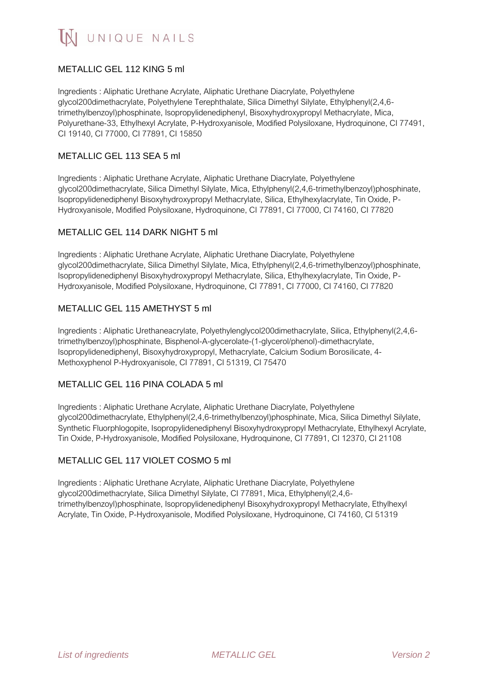# METALLIC GEL 112 KING 5 ml

Ingredients : Aliphatic Urethane Acrylate, Aliphatic Urethane Diacrylate, Polyethylene glycol200dimethacrylate, Polyethylene Terephthalate, Silica Dimethyl Silylate, Ethylphenyl(2,4,6 trimethylbenzoyl)phosphinate, Isopropylidenediphenyl, Bisoxyhydroxypropyl Methacrylate, Mica, Polyurethane-33, Ethylhexyl Acrylate, P-Hydroxyanisole, Modified Polysiloxane, Hydroquinone, CI 77491, CI 19140, CI 77000, CI 77891, CI 15850

## METALLIC GEL 113 SEA 5 ml

Ingredients : Aliphatic Urethane Acrylate, Aliphatic Urethane Diacrylate, Polyethylene glycol200dimethacrylate, Silica Dimethyl Silylate, Mica, Ethylphenyl(2,4,6-trimethylbenzoyl)phosphinate, Isopropylidenediphenyl Bisoxyhydroxypropyl Methacrylate, Silica, Ethylhexylacrylate, Tin Oxide, P-Hydroxyanisole, Modified Polysiloxane, Hydroquinone, CI 77891, CI 77000, CI 74160, CI 77820

## METALLIC GEL 114 DARK NIGHT 5 ml

Ingredients : Aliphatic Urethane Acrylate, Aliphatic Urethane Diacrylate, Polyethylene glycol200dimethacrylate, Silica Dimethyl Silylate, Mica, Ethylphenyl(2,4,6-trimethylbenzoyl)phosphinate, Isopropylidenediphenyl Bisoxyhydroxypropyl Methacrylate, Silica, Ethylhexylacrylate, Tin Oxide, P-Hydroxyanisole, Modified Polysiloxane, Hydroquinone, CI 77891, CI 77000, CI 74160, CI 77820

## METALLIC GEL 115 AMETHYST 5 ml

Ingredients : Aliphatic Urethaneacrylate, Polyethylenglycol200dimethacrylate, Silica, Ethylphenyl(2,4,6 trimethylbenzoyl)phosphinate, Bisphenol-A-glycerolate-(1-glycerol/phenol)-dimethacrylate, Isopropylidenediphenyl, Bisoxyhydroxypropyl, Methacrylate, Calcium Sodium Borosilicate, 4- Methoxyphenol P-Hydroxyanisole, CI 77891, CI 51319, CI 75470

## METALLIC GEL 116 PINA COLADA 5 ml

Ingredients : Aliphatic Urethane Acrylate, Aliphatic Urethane Diacrylate, Polyethylene glycol200dimethacrylate, Ethylphenyl(2,4,6-trimethylbenzoyl)phosphinate, Mica, Silica Dimethyl Silylate, Synthetic Fluorphlogopite, Isopropylidenediphenyl Bisoxyhydroxypropyl Methacrylate, Ethylhexyl Acrylate, Tin Oxide, P-Hydroxyanisole, Modified Polysiloxane, Hydroquinone, CI 77891, CI 12370, CI 21108

# METALLIC GEL 117 VIOLET COSMO 5 ml

Ingredients : Aliphatic Urethane Acrylate, Aliphatic Urethane Diacrylate, Polyethylene glycol200dimethacrylate, Silica Dimethyl Silylate, CI 77891, Mica, Ethylphenyl(2,4,6 trimethylbenzoyl)phosphinate, Isopropylidenediphenyl Bisoxyhydroxypropyl Methacrylate, Ethylhexyl Acrylate, Tin Oxide, P-Hydroxyanisole, Modified Polysiloxane, Hydroquinone, CI 74160, CI 51319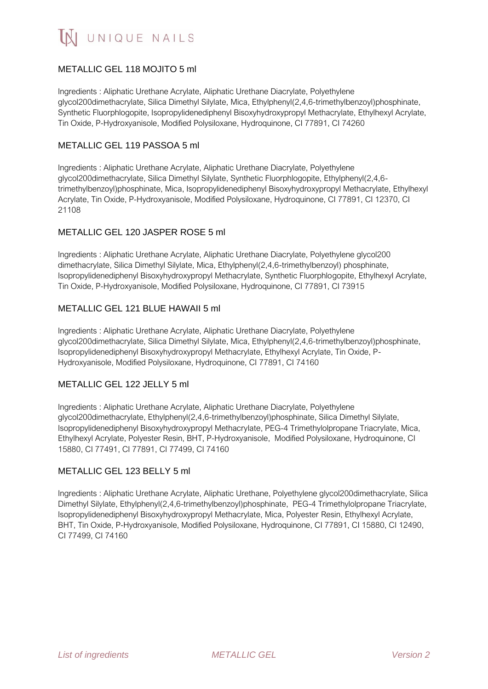# METALLIC GEL 118 MOJITO 5 ml

Ingredients : Aliphatic Urethane Acrylate, Aliphatic Urethane Diacrylate, Polyethylene glycol200dimethacrylate, Silica Dimethyl Silylate, Mica, Ethylphenyl(2,4,6-trimethylbenzoyl)phosphinate, Synthetic Fluorphlogopite, Isopropylidenediphenyl Bisoxyhydroxypropyl Methacrylate, Ethylhexyl Acrylate, Tin Oxide, P-Hydroxyanisole, Modified Polysiloxane, Hydroquinone, CI 77891, CI 74260

## METALLIC GEL 119 PASSOA 5 ml

Ingredients : Aliphatic Urethane Acrylate, Aliphatic Urethane Diacrylate, Polyethylene glycol200dimethacrylate, Silica Dimethyl Silylate, Synthetic Fluorphlogopite, Ethylphenyl(2,4,6 trimethylbenzoyl)phosphinate, Mica, Isopropylidenediphenyl Bisoxyhydroxypropyl Methacrylate, Ethylhexyl Acrylate, Tin Oxide, P-Hydroxyanisole, Modified Polysiloxane, Hydroquinone, CI 77891, CI 12370, CI 21108

## METALLIC GEL 120 JASPER ROSE 5 ml

Ingredients : Aliphatic Urethane Acrylate, Aliphatic Urethane Diacrylate, Polyethylene glycol200 dimethacrylate, Silica Dimethyl Silylate, Mica, Ethylphenyl(2,4,6-trimethylbenzoyl) phosphinate, Isopropylidenediphenyl Bisoxyhydroxypropyl Methacrylate, Synthetic Fluorphlogopite, Ethylhexyl Acrylate, Tin Oxide, P-Hydroxyanisole, Modified Polysiloxane, Hydroquinone, CI 77891, CI 73915

# METALLIC GEL 121 BLUE HAWAII 5 ml

Ingredients : Aliphatic Urethane Acrylate, Aliphatic Urethane Diacrylate, Polyethylene glycol200dimethacrylate, Silica Dimethyl Silylate, Mica, Ethylphenyl(2,4,6-trimethylbenzoyl)phosphinate, Isopropylidenediphenyl Bisoxyhydroxypropyl Methacrylate, Ethylhexyl Acrylate, Tin Oxide, P-Hydroxyanisole, Modified Polysiloxane, Hydroquinone, CI 77891, CI 74160

## METALLIC GEL 122 JELLY 5 ml

Ingredients : Aliphatic Urethane Acrylate, Aliphatic Urethane Diacrylate, Polyethylene glycol200dimethacrylate, Ethylphenyl(2,4,6-trimethylbenzoyl)phosphinate, Silica Dimethyl Silylate, Isopropylidenediphenyl Bisoxyhydroxypropyl Methacrylate, PEG-4 Trimethylolpropane Triacrylate, Mica, Ethylhexyl Acrylate, Polyester Resin, BHT, P-Hydroxyanisole, Modified Polysiloxane, Hydroquinone, CI 15880, CI 77491, CI 77891, CI 77499, CI 74160

## METALLIC GEL 123 BELLY 5 ml

Ingredients : Aliphatic Urethane Acrylate, Aliphatic Urethane, Polyethylene glycol200dimethacrylate, Silica Dimethyl Silylate, Ethylphenyl(2,4,6-trimethylbenzoyl)phosphinate, PEG-4 Trimethylolpropane Triacrylate, Isopropylidenediphenyl Bisoxyhydroxypropyl Methacrylate, Mica, Polyester Resin, Ethylhexyl Acrylate, BHT, Tin Oxide, P-Hydroxyanisole, Modified Polysiloxane, Hydroquinone, CI 77891, CI 15880, CI 12490, CI 77499, CI 74160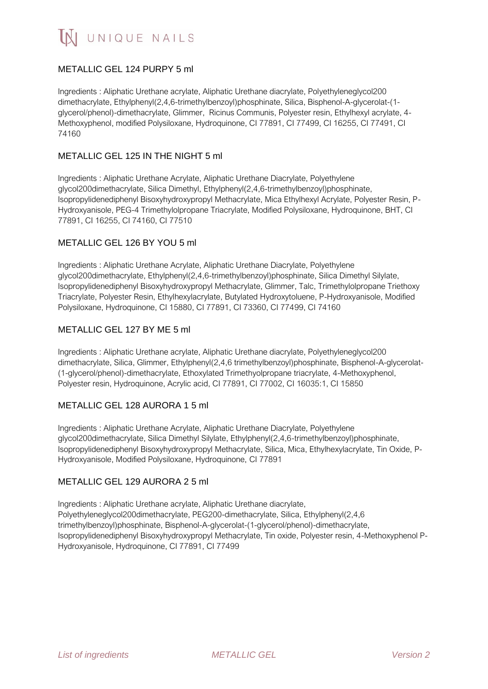# METALLIC GEL 124 PURPY 5 ml

Ingredients : Aliphatic Urethane acrylate, Aliphatic Urethane diacrylate, Polyethyleneglycol200 dimethacrylate, Ethylphenyl(2,4,6-trimethylbenzoyl)phosphinate, Silica, Bisphenol-A-glycerolat-(1 glycerol/phenol)-dimethacrylate, Glimmer, Ricinus Communis, Polyester resin, Ethylhexyl acrylate, 4- Methoxyphenol, modified Polysiloxane, Hydroquinone, CI 77891, CI 77499, CI 16255, CI 77491, CI 74160

## METALLIC GEL 125 IN THE NIGHT 5 ml

Ingredients : Aliphatic Urethane Acrylate, Aliphatic Urethane Diacrylate, Polyethylene glycol200dimethacrylate, Silica Dimethyl, Ethylphenyl(2,4,6-trimethylbenzoyl)phosphinate, Isopropylidenediphenyl Bisoxyhydroxypropyl Methacrylate, Mica Ethylhexyl Acrylate, Polyester Resin, P-Hydroxyanisole, PEG-4 Trimethylolpropane Triacrylate, Modified Polysiloxane, Hydroquinone, BHT, CI 77891, CI 16255, CI 74160, CI 77510

#### METALLIC GEL 126 BY YOU 5 ml

Ingredients : Aliphatic Urethane Acrylate, Aliphatic Urethane Diacrylate, Polyethylene glycol200dimethacrylate, Ethylphenyl(2,4,6-trimethylbenzoyl)phosphinate, Silica Dimethyl Silylate, Isopropylidenediphenyl Bisoxyhydroxypropyl Methacrylate, Glimmer, Talc, Trimethylolpropane Triethoxy Triacrylate, Polyester Resin, Ethylhexylacrylate, Butylated Hydroxytoluene, P-Hydroxyanisole, Modified Polysiloxane, Hydroquinone, CI 15880, CI 77891, CI 73360, CI 77499, CI 74160

## METALLIC GEL 127 BY ME 5 ml

Ingredients : Aliphatic Urethane acrylate, Aliphatic Urethane diacrylate, Polyethyleneglycol200 dimethacrylate, Silica, Glimmer, Ethylphenyl(2,4,6 trimethylbenzoyl)phosphinate, Bisphenol-A-glycerolat- (1-glycerol/phenol)-dimethacrylate, Ethoxylated Trimethyolpropane triacrylate, 4-Methoxyphenol, Polyester resin, Hydroquinone, Acrylic acid, CI 77891, CI 77002, CI 16035:1, CI 15850

#### METALLIC GEL 128 AURORA 1 5 ml

Ingredients : Aliphatic Urethane Acrylate, Aliphatic Urethane Diacrylate, Polyethylene glycol200dimethacrylate, Silica Dimethyl Silylate, Ethylphenyl(2,4,6-trimethylbenzoyl)phosphinate, Isopropylidenediphenyl Bisoxyhydroxypropyl Methacrylate, Silica, Mica, Ethylhexylacrylate, Tin Oxide, P-Hydroxyanisole, Modified Polysiloxane, Hydroquinone, CI 77891

#### METALLIC GEL 129 AURORA 2 5 ml

Ingredients : Aliphatic Urethane acrylate, Aliphatic Urethane diacrylate, Polyethyleneglycol200dimethacrylate, PEG200-dimethacrylate, Silica, Ethylphenyl(2,4,6 trimethylbenzoyl)phosphinate, Bisphenol-A-glycerolat-(1-glycerol/phenol)-dimethacrylate, Isopropylidenediphenyl Bisoxyhydroxypropyl Methacrylate, Tin oxide, Polyester resin, 4-Methoxyphenol P-Hydroxyanisole, Hydroquinone, CI 77891, CI 77499